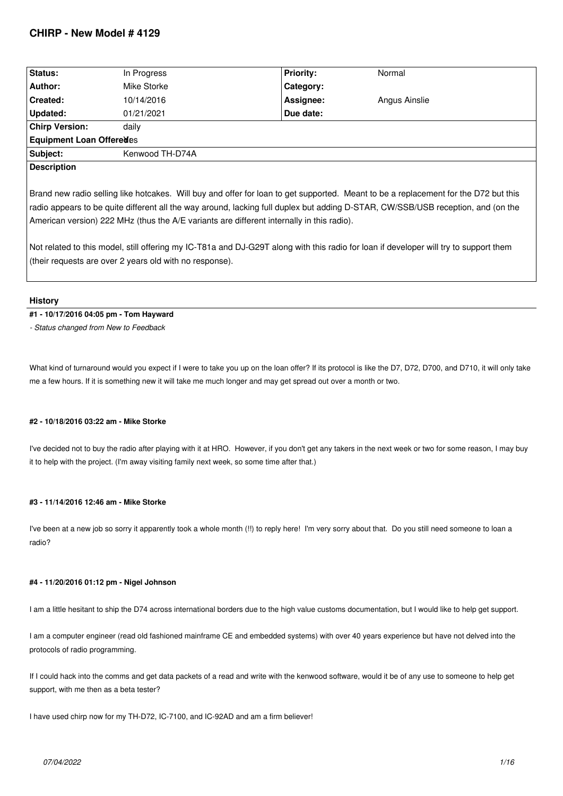| Status:                  | In Progress     | <b>Priority:</b> | Normal        |  |
|--------------------------|-----------------|------------------|---------------|--|
| Author:                  | Mike Storke     | Category:        |               |  |
| Created:                 | 10/14/2016      | Assignee:        | Angus Ainslie |  |
| Updated:                 | 01/21/2021      | Due date:        |               |  |
| <b>Chirp Version:</b>    | daily           |                  |               |  |
| Equipment Loan Offeredes |                 |                  |               |  |
| Subject:                 | Kenwood TH-D74A |                  |               |  |
| <b>Description</b>       |                 |                  |               |  |
|                          |                 |                  |               |  |

*Brand new radio selling like hotcakes. Will buy and offer for loan to get supported. Meant to be a replacement for the D72 but this radio appears to be quite different all the way around, lacking full duplex but adding D-STAR, CW/SSB/USB reception, and (on the American version) 222 MHz (thus the A/E variants are different internally in this radio).*

*Not related to this model, still offering my IC-T81a and DJ-G29T along with this radio for loan if developer will try to support them (their requests are over 2 years old with no response).*

### **History**

# **#1 - 10/17/2016 04:05 pm - Tom Hayward**

*- Status changed from New to Feedback*

*What kind of turnaround would you expect if I were to take you up on the loan offer? If its protocol is like the D7, D72, D700, and D710, it will only take me a few hours. If it is something new it will take me much longer and may get spread out over a month or two.*

### **#2 - 10/18/2016 03:22 am - Mike Storke**

*I've decided not to buy the radio after playing with it at HRO. However, if you don't get any takers in the next week or two for some reason, I may buy it to help with the project. (I'm away visiting family next week, so some time after that.)*

# **#3 - 11/14/2016 12:46 am - Mike Storke**

*I've been at a new job so sorry it apparently took a whole month (!!) to reply here! I'm very sorry about that. Do you still need someone to loan a radio?*

### **#4 - 11/20/2016 01:12 pm - Nigel Johnson**

*I am a little hesitant to ship the D74 across international borders due to the high value customs documentation, but I would like to help get support.*

*I am a computer engineer (read old fashioned mainframe CE and embedded systems) with over 40 years experience but have not delved into the protocols of radio programming.*

*If I could hack into the comms and get data packets of a read and write with the kenwood software, would it be of any use to someone to help get support, with me then as a beta tester?*

*I have used chirp now for my TH-D72, IC-7100, and IC-92AD and am a firm believer!*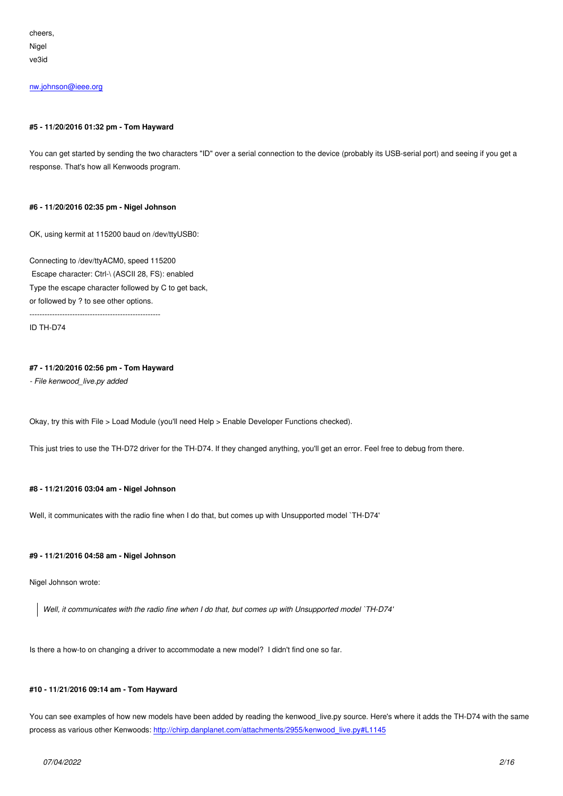*Nigel ve3id*

#### *nw.johnson@ieee.org*

### **[#5 - 11/20/2016 01:32](mailto:nw.johnson@ieee.org) pm - Tom Hayward**

*You can get started by sending the two characters "ID" over a serial connection to the device (probably its USB-serial port) and seeing if you get a response. That's how all Kenwoods program.*

### **#6 - 11/20/2016 02:35 pm - Nigel Johnson**

*OK, using kermit at 115200 baud on /dev/ttyUSB0:*

*Connecting to /dev/ttyACM0, speed 115200 Escape character: Ctrl-\ (ASCII 28, FS): enabled Type the escape character followed by C to get back, or followed by ? to see other options.*

*----------------------------------------------------*

*ID TH-D74*

### **#7 - 11/20/2016 02:56 pm - Tom Hayward**

*- File kenwood\_live.py added*

*Okay, try this with File > Load Module (you'll need Help > Enable Developer Functions checked).*

*This just tries to use the TH-D72 driver for the TH-D74. If they changed anything, you'll get an error. Feel free to debug from there.*

### **#8 - 11/21/2016 03:04 am - Nigel Johnson**

*Well, it communicates with the radio fine when I do that, but comes up with Unsupported model `TH-D74'*

### **#9 - 11/21/2016 04:58 am - Nigel Johnson**

*Nigel Johnson wrote:*

*Well, it communicates with the radio fine when I do that, but comes up with Unsupported model `TH-D74'*

*Is there a how-to on changing a driver to accommodate a new model? I didn't find one so far.*

### **#10 - 11/21/2016 09:14 am - Tom Hayward**

*You can see examples of how new models have been added by reading the kenwood\_live.py source. Here's where it adds the TH-D74 with the same process as various other Kenwoods: http://chirp.danplanet.com/attachments/2955/kenwood\_live.py#L1145*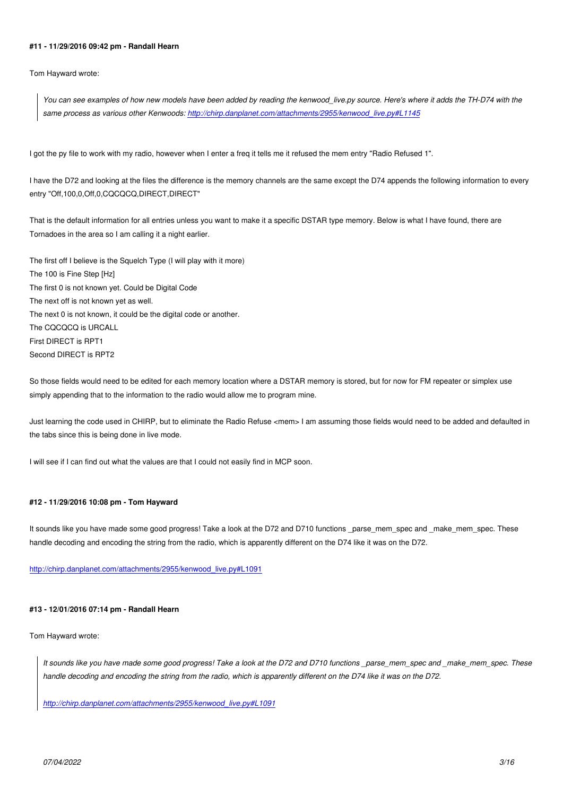#### **#11 - 11/29/2016 09:42 pm - Randall Hearn**

*Tom Hayward wrote:*

*You can see examples of how new models have been added by reading the kenwood\_live.py source. Here's where it adds the TH-D74 with the same process as various other Kenwoods: http://chirp.danplanet.com/attachments/2955/kenwood\_live.py#L1145*

I got the py file to work with my radio, however [when I enter a freq it tells me it refused the mem entry "Radio Refused](http://chirp.danplanet.com/attachments/2955/kenwood_live.py#L1145) 1".

*I have the D72 and looking at the files the difference is the memory channels are the same except the D74 appends the following information to every entry "Off,100,0,Off,0,CQCQCQ,DIRECT,DIRECT"*

*That is the default information for all entries unless you want to make it a specific DSTAR type memory. Below is what I have found, there are Tornadoes in the area so I am calling it a night earlier.*

*The first off I believe is the Squelch Type (I will play with it more) The 100 is Fine Step [Hz] The first 0 is not known yet. Could be Digital Code The next off is not known yet as well. The next 0 is not known, it could be the digital code or another. The CQCQCQ is URCALL First DIRECT is RPT1 Second DIRECT is RPT2*

*So those fields would need to be edited for each memory location where a DSTAR memory is stored, but for now for FM repeater or simplex use simply appending that to the information to the radio would allow me to program mine.*

Just learning the code used in CHIRP, but to eliminate the Radio Refuse <mem> I am assuming those fields would need to be added and defaulted in *the tabs since this is being done in live mode.*

*I will see if I can find out what the values are that I could not easily find in MCP soon.*

### **#12 - 11/29/2016 10:08 pm - Tom Hayward**

It sounds like you have made some good progress! Take a look at the D72 and D710 functions parse\_mem\_spec and \_make\_mem\_spec. These *handle decoding and encoding the string from the radio, which is apparently different on the D74 like it was on the D72.*

*http://chirp.danplanet.com/attachments/2955/kenwood\_live.py#L1091*

### **[#13 - 12/01/2016 07:14 pm - Randall Hearn](http://chirp.danplanet.com/attachments/2955/kenwood_live.py#L1091)**

*Tom Hayward wrote:*

*It sounds like you have made some good progress! Take a look at the D72 and D710 functions \_parse\_mem\_spec and \_make\_mem\_spec. These handle decoding and encoding the string from the radio, which is apparently different on the D74 like it was on the D72.*

*http://chirp.danplanet.com/attachments/2955/kenwood\_live.py#L1091*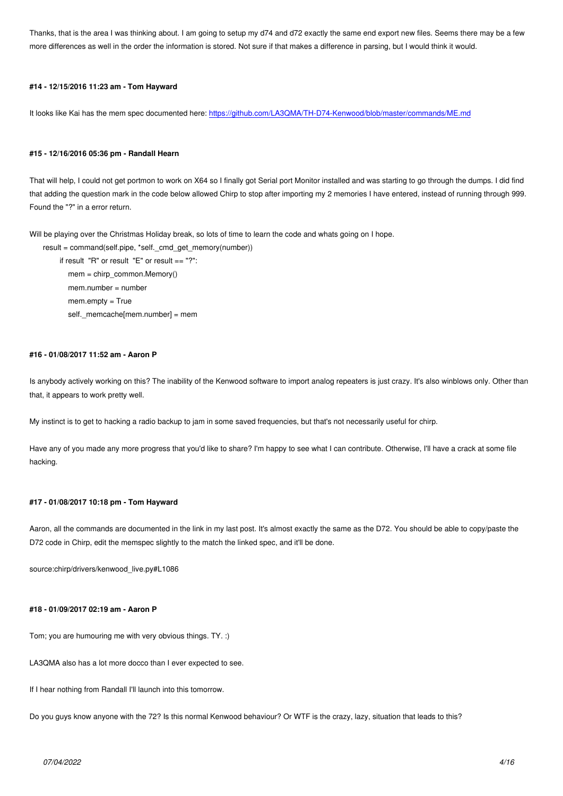*more differences as well in the order the information is stored. Not sure if that makes a difference in parsing, but I would think it would.*

### **#14 - 12/15/2016 11:23 am - Tom Hayward**

*It looks like Kai has the mem spec documented here: https://github.com/LA3QMA/TH-D74-Kenwood/blob/master/commands/ME.md*

#### **#15 - 12/16/2016 05:36 pm - Randall Hearn**

*That will help, I could not get portmon to work on X64 so I finally got Serial port Monitor installed and was starting to go through the dumps. I did find that adding the question mark in the code below allowed Chirp to stop after importing my 2 memories I have entered, instead of running through 999. Found the "?" in a error return.*

Will be playing over the Christmas Holiday break, so lots of time to learn the code and whats going on I hope.

*result = command(self.pipe, \*self.\_cmd\_get\_memory(number)) if result "R" or result "E" or result == "?": mem = chirp\_common.Memory() mem.number = number mem.empty = True self.\_memcache[mem.number] = mem*

### **#16 - 01/08/2017 11:52 am - Aaron P**

*Is anybody actively working on this? The inability of the Kenwood software to import analog repeaters is just crazy. It's also winblows only. Other than that, it appears to work pretty well.*

*My instinct is to get to hacking a radio backup to jam in some saved frequencies, but that's not necessarily useful for chirp.*

*Have any of you made any more progress that you'd like to share? I'm happy to see what I can contribute. Otherwise, I'll have a crack at some file hacking.*

# **#17 - 01/08/2017 10:18 pm - Tom Hayward**

*Aaron, all the commands are documented in the link in my last post. It's almost exactly the same as the D72. You should be able to copy/paste the D72 code in Chirp, edit the memspec slightly to the match the linked spec, and it'll be done.*

*source:chirp/drivers/kenwood\_live.py#L1086*

### **#18 - 01/09/2017 02:19 am - Aaron P**

*Tom; you are humouring me with very obvious things. TY. :)*

*LA3QMA also has a lot more docco than I ever expected to see.*

*If I hear nothing from Randall I'll launch into this tomorrow.*

*Do you guys know anyone with the 72? Is this normal Kenwood behaviour? Or WTF is the crazy, lazy, situation that leads to this?*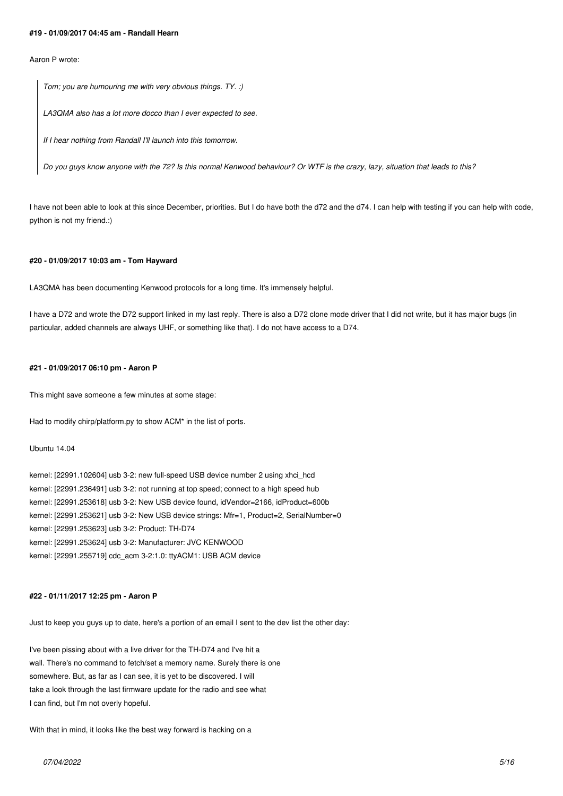#### **#19 - 01/09/2017 04:45 am - Randall Hearn**

### *Aaron P wrote:*

*Tom; you are humouring me with very obvious things. TY. :)*

*LA3QMA also has a lot more docco than I ever expected to see.*

*If I hear nothing from Randall I'll launch into this tomorrow.*

*Do you guys know anyone with the 72? Is this normal Kenwood behaviour? Or WTF is the crazy, lazy, situation that leads to this?*

*I have not been able to look at this since December, priorities. But I do have both the d72 and the d74. I can help with testing if you can help with code, python is not my friend.:)*

#### **#20 - 01/09/2017 10:03 am - Tom Hayward**

*LA3QMA has been documenting Kenwood protocols for a long time. It's immensely helpful.*

*I have a D72 and wrote the D72 support linked in my last reply. There is also a D72 clone mode driver that I did not write, but it has major bugs (in particular, added channels are always UHF, or something like that). I do not have access to a D74.*

#### **#21 - 01/09/2017 06:10 pm - Aaron P**

*This might save someone a few minutes at some stage:*

*Had to modify chirp/platform.py to show ACM\* in the list of ports.*

### *Ubuntu 14.04*

*kernel: [22991.102604] usb 3-2: new full-speed USB device number 2 using xhci\_hcd kernel: [22991.236491] usb 3-2: not running at top speed; connect to a high speed hub kernel: [22991.253618] usb 3-2: New USB device found, idVendor=2166, idProduct=600b kernel: [22991.253621] usb 3-2: New USB device strings: Mfr=1, Product=2, SerialNumber=0 kernel: [22991.253623] usb 3-2: Product: TH-D74 kernel: [22991.253624] usb 3-2: Manufacturer: JVC KENWOOD kernel: [22991.255719] cdc\_acm 3-2:1.0: ttyACM1: USB ACM device*

### **#22 - 01/11/2017 12:25 pm - Aaron P**

*Just to keep you guys up to date, here's a portion of an email I sent to the dev list the other day:*

*I've been pissing about with a live driver for the TH-D74 and I've hit a wall. There's no command to fetch/set a memory name. Surely there is one somewhere. But, as far as I can see, it is yet to be discovered. I will take a look through the last firmware update for the radio and see what I can find, but I'm not overly hopeful.*

*With that in mind, it looks like the best way forward is hacking on a*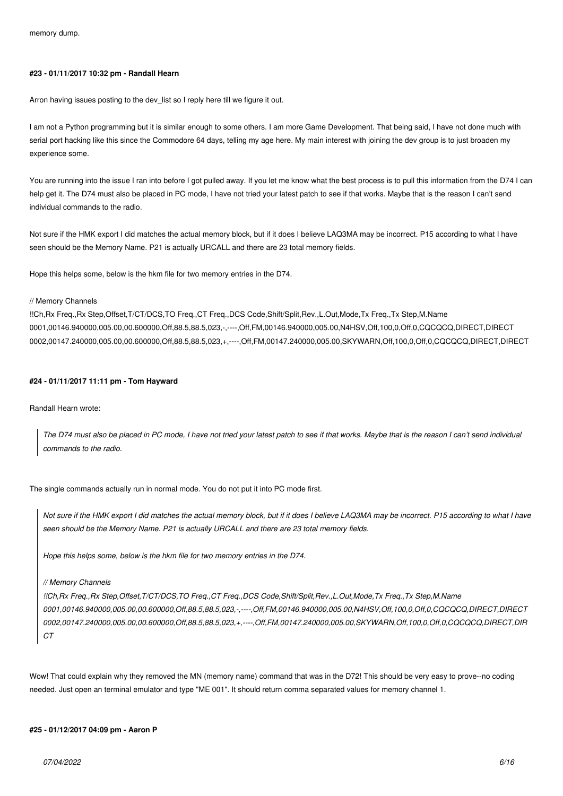#### **#23 - 01/11/2017 10:32 pm - Randall Hearn**

*Arron having issues posting to the dev\_list so I reply here till we figure it out.*

*I am not a Python programming but it is similar enough to some others. I am more Game Development. That being said, I have not done much with serial port hacking like this since the Commodore 64 days, telling my age here. My main interest with joining the dev group is to just broaden my experience some.*

*You are running into the issue I ran into before I got pulled away. If you let me know what the best process is to pull this information from the D74 I can help get it. The D74 must also be placed in PC mode, I have not tried your latest patch to see if that works. Maybe that is the reason I can't send individual commands to the radio.*

*Not sure if the HMK export I did matches the actual memory block, but if it does I believe LAQ3MA may be incorrect. P15 according to what I have seen should be the Memory Name. P21 is actually URCALL and there are 23 total memory fields.*

*Hope this helps some, below is the hkm file for two memory entries in the D74.*

#### *// Memory Channels*

*!!Ch,Rx Freq.,Rx Step,Offset,T/CT/DCS,TO Freq.,CT Freq.,DCS Code,Shift/Split,Rev.,L.Out,Mode,Tx Freq.,Tx Step,M.Name 0001,00146.940000,005.00,00.600000,Off,88.5,88.5,023,-,----,Off,FM,00146.940000,005.00,N4HSV,Off,100,0,Off,0,CQCQCQ,DIRECT,DIRECT 0002,00147.240000,005.00,00.600000,Off,88.5,88.5,023,+,----,Off,FM,00147.240000,005.00,SKYWARN,Off,100,0,Off,0,CQCQCQ,DIRECT,DIRECT*

#### **#24 - 01/11/2017 11:11 pm - Tom Hayward**

### *Randall Hearn wrote:*

*The D74 must also be placed in PC mode, I have not tried your latest patch to see if that works. Maybe that is the reason I can't send individual commands to the radio.*

*The single commands actually run in normal mode. You do not put it into PC mode first.*

*Not sure if the HMK export I did matches the actual memory block, but if it does I believe LAQ3MA may be incorrect. P15 according to what I have seen should be the Memory Name. P21 is actually URCALL and there are 23 total memory fields.*

*Hope this helps some, below is the hkm file for two memory entries in the D74.*

#### *// Memory Channels*

*!!Ch,Rx Freq.,Rx Step,Offset,T/CT/DCS,TO Freq.,CT Freq.,DCS Code,Shift/Split,Rev.,L.Out,Mode,Tx Freq.,Tx Step,M.Name 0001,00146.940000,005.00,00.600000,Off,88.5,88.5,023,-,----,Off,FM,00146.940000,005.00,N4HSV,Off,100,0,Off,0,CQCQCQ,DIRECT,DIRECT 0002,00147.240000,005.00,00.600000,Off,88.5,88.5,023,+,----,Off,FM,00147.240000,005.00,SKYWARN,Off,100,0,Off,0,CQCQCQ,DIRECT,DIR CT*

*Wow! That could explain why they removed the MN (memory name) command that was in the D72! This should be very easy to prove--no coding needed. Just open an terminal emulator and type "ME 001". It should return comma separated values for memory channel 1.*

### **#25 - 01/12/2017 04:09 pm - Aaron P**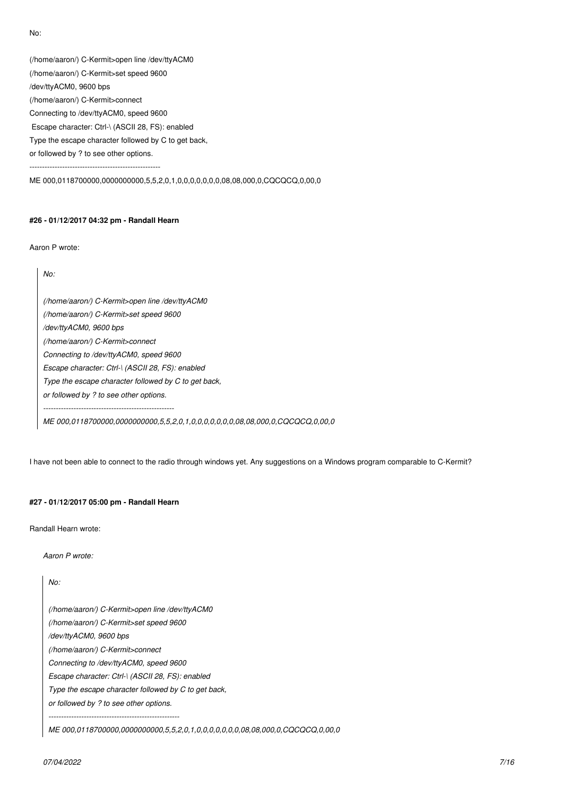*No:*

*(/home/aaron/) C-Kermit>open line /dev/ttyACM0*

*(/home/aaron/) C-Kermit>set speed 9600*

*/dev/ttyACM0, 9600 bps*

*(/home/aaron/) C-Kermit>connect*

*Connecting to /dev/ttyACM0, speed 9600*

 *Escape character: Ctrl-\ (ASCII 28, FS): enabled*

*Type the escape character followed by C to get back,*

*or followed by ? to see other options.*

*----------------------------------------------------*

*ME 000,0118700000,0000000000,5,5,2,0,1,0,0,0,0,0,0,0,08,08,000,0,CQCQCQ,0,00,0*

### **#26 - 01/12/2017 04:32 pm - Randall Hearn**

*Aaron P wrote:*

*No:*

*(/home/aaron/) C-Kermit>open line /dev/ttyACM0 (/home/aaron/) C-Kermit>set speed 9600 /dev/ttyACM0, 9600 bps (/home/aaron/) C-Kermit>connect Connecting to /dev/ttyACM0, speed 9600 Escape character: Ctrl-\ (ASCII 28, FS): enabled Type the escape character followed by C to get back, or followed by ? to see other options. ---------------------------------------------------- ME 000,0118700000,0000000000,5,5,2,0,1,0,0,0,0,0,0,0,08,08,000,0,CQCQCQ,0,00,0*

*I have not been able to connect to the radio through windows yet. Any suggestions on a Windows program comparable to C-Kermit?*

# **#27 - 01/12/2017 05:00 pm - Randall Hearn**

*Randall Hearn wrote:*

*Aaron P wrote:*

*No:*

*(/home/aaron/) C-Kermit>open line /dev/ttyACM0 (/home/aaron/) C-Kermit>set speed 9600 /dev/ttyACM0, 9600 bps*

*(/home/aaron/) C-Kermit>connect*

*Connecting to /dev/ttyACM0, speed 9600*

*Escape character: Ctrl-\ (ASCII 28, FS): enabled*

*Type the escape character followed by C to get back,*

*or followed by ? to see other options.*

*----------------------------------------------------*

*ME 000,0118700000,0000000000,5,5,2,0,1,0,0,0,0,0,0,0,08,08,000,0,CQCQCQ,0,00,0*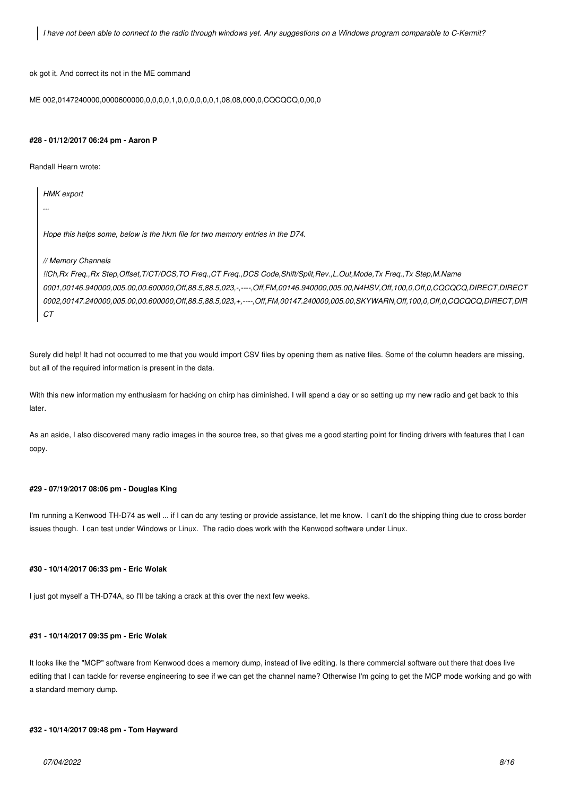*I have not been able to connect to the radio through windows yet. Any suggestions on a Windows program comparable to C-Kermit?*

*ok got it. And correct its not in the ME command*

*ME 002,0147240000,0000600000,0,0,0,0,1,0,0,0,0,0,0,1,08,08,000,0,CQCQCQ,0,00,0*

#### **#28 - 01/12/2017 06:24 pm - Aaron P**

*Randall Hearn wrote:*

*HMK export*

*Hope this helps some, below is the hkm file for two memory entries in the D74.*

#### *// Memory Channels*

*!!Ch,Rx Freq.,Rx Step,Offset,T/CT/DCS,TO Freq.,CT Freq.,DCS Code,Shift/Split,Rev.,L.Out,Mode,Tx Freq.,Tx Step,M.Name 0001,00146.940000,005.00,00.600000,Off,88.5,88.5,023,-,----,Off,FM,00146.940000,005.00,N4HSV,Off,100,0,Off,0,CQCQCQ,DIRECT,DIRECT 0002,00147.240000,005.00,00.600000,Off,88.5,88.5,023,+,----,Off,FM,00147.240000,005.00,SKYWARN,Off,100,0,Off,0,CQCQCQ,DIRECT,DIR CT*

*Surely did help! It had not occurred to me that you would import CSV files by opening them as native files. Some of the column headers are missing, but all of the required information is present in the data.*

*With this new information my enthusiasm for hacking on chirp has diminished. I will spend a day or so setting up my new radio and get back to this later.*

*As an aside, I also discovered many radio images in the source tree, so that gives me a good starting point for finding drivers with features that I can copy.*

#### **#29 - 07/19/2017 08:06 pm - Douglas King**

*I'm running a Kenwood TH-D74 as well ... if I can do any testing or provide assistance, let me know. I can't do the shipping thing due to cross border issues though. I can test under Windows or Linux. The radio does work with the Kenwood software under Linux.*

#### **#30 - 10/14/2017 06:33 pm - Eric Wolak**

*I just got myself a TH-D74A, so I'll be taking a crack at this over the next few weeks.*

### **#31 - 10/14/2017 09:35 pm - Eric Wolak**

*It looks like the "MCP" software from Kenwood does a memory dump, instead of live editing. Is there commercial software out there that does live editing that I can tackle for reverse engineering to see if we can get the channel name? Otherwise I'm going to get the MCP mode working and go with a standard memory dump.*

## **#32 - 10/14/2017 09:48 pm - Tom Hayward**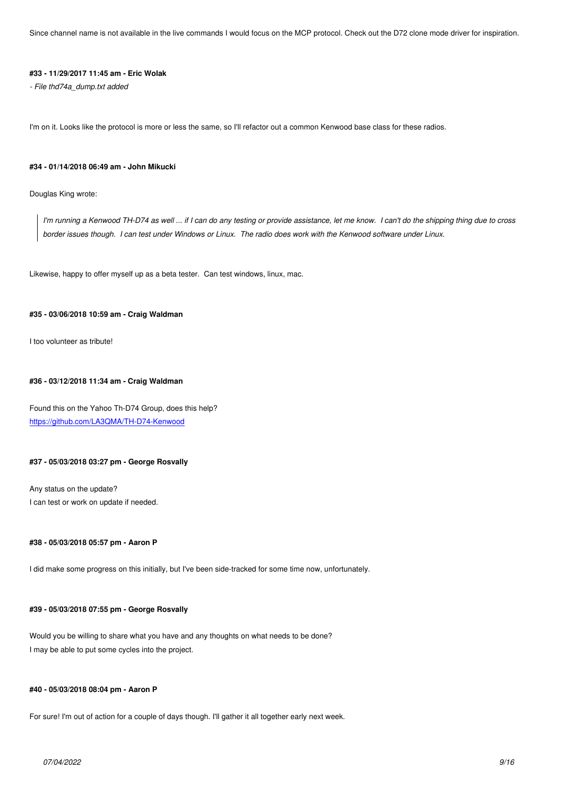### **#33 - 11/29/2017 11:45 am - Eric Wolak**

*- File thd74a\_dump.txt added*

*I'm on it. Looks like the protocol is more or less the same, so I'll refactor out a common Kenwood base class for these radios.*

#### **#34 - 01/14/2018 06:49 am - John Mikucki**

*Douglas King wrote:*

*I'm running a Kenwood TH-D74 as well ... if I can do any testing or provide assistance, let me know. I can't do the shipping thing due to cross border issues though. I can test under Windows or Linux. The radio does work with the Kenwood software under Linux.*

*Likewise, happy to offer myself up as a beta tester. Can test windows, linux, mac.*

#### **#35 - 03/06/2018 10:59 am - Craig Waldman**

*I too volunteer as tribute!*

#### **#36 - 03/12/2018 11:34 am - Craig Waldman**

*Found this on the Yahoo Th-D74 Group, does this help? https://github.com/LA3QMA/TH-D74-Kenwood*

### **[#37 - 05/03/2018 03:27 pm - George Rosvally](https://github.com/LA3QMA/TH-D74-Kenwood)**

*Any status on the update? I can test or work on update if needed.*

### **#38 - 05/03/2018 05:57 pm - Aaron P**

*I did make some progress on this initially, but I've been side-tracked for some time now, unfortunately.*

### **#39 - 05/03/2018 07:55 pm - George Rosvally**

*Would you be willing to share what you have and any thoughts on what needs to be done? I may be able to put some cycles into the project.*

### **#40 - 05/03/2018 08:04 pm - Aaron P**

*For sure! I'm out of action for a couple of days though. I'll gather it all together early next week.*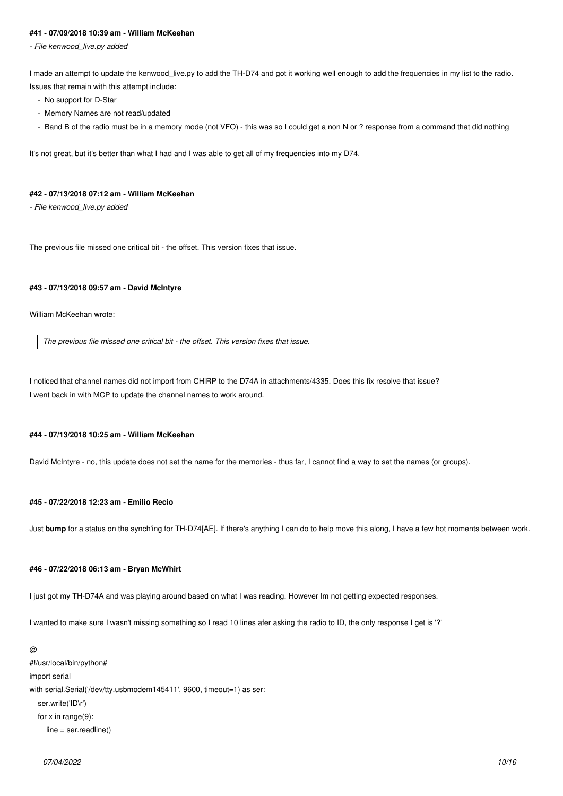### **#41 - 07/09/2018 10:39 am - William McKeehan**

*- File kenwood\_live.py added*

*I made an attempt to update the kenwood\_live.py to add the TH-D74 and got it working well enough to add the frequencies in my list to the radio. Issues that remain with this attempt include:*

- *No support for D-Star*
- *Memory Names are not read/updated*
- *Band B of the radio must be in a memory mode (not VFO) this was so I could get a non N or ? response from a command that did nothing*

*It's not great, but it's better than what I had and I was able to get all of my frequencies into my D74.*

### **#42 - 07/13/2018 07:12 am - William McKeehan**

*- File kenwood\_live.py added*

*The previous file missed one critical bit - the offset. This version fixes that issue.*

### **#43 - 07/13/2018 09:57 am - David McIntyre**

*William McKeehan wrote:*

*The previous file missed one critical bit - the offset. This version fixes that issue.*

*I noticed that channel names did not import from CHiRP to the D74A in attachments/4335. Does this fix resolve that issue? I went back in with MCP to update the channel names to work around.*

### **#44 - 07/13/2018 10:25 am - William McKeehan**

*David McIntyre - no, this update does not set the name for the memories - thus far, I cannot find a way to set the names (or groups).*

## **#45 - 07/22/2018 12:23 am - Emilio Recio**

*Just* **bump** *for a status on the synch'ing for TH-D74[AE]. If there's anything I can do to help move this along, I have a few hot moments between work.*

#### **#46 - 07/22/2018 06:13 am - Bryan McWhirt**

*I just got my TH-D74A and was playing around based on what I was reading. However Im not getting expected responses.*

*I wanted to make sure I wasn't missing something so I read 10 lines afer asking the radio to ID, the only response I get is '?'*

*@ #!/usr/local/bin/python# import serial with serial.Serial('/dev/tty.usbmodem145411', 9600, timeout=1) as ser: ser.write('ID\r') for x in range(9): line = ser.readline()*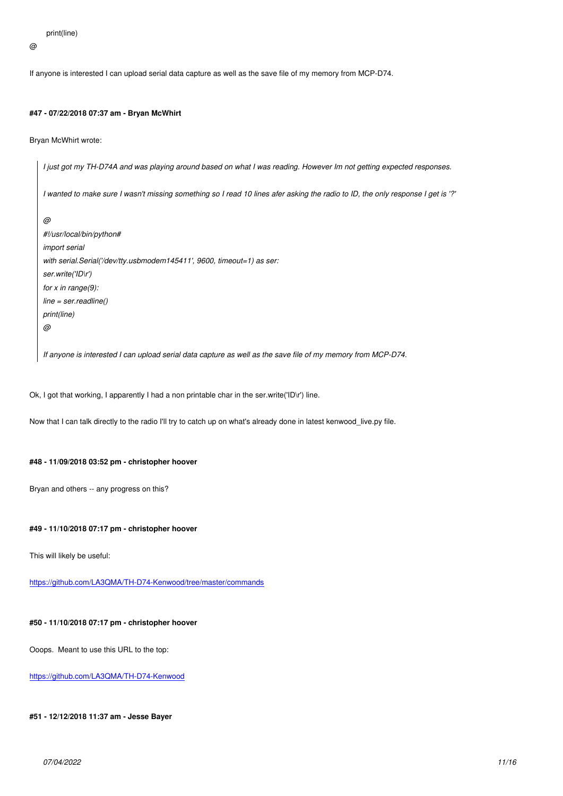*@*

*If anyone is interested I can upload serial data capture as well as the save file of my memory from MCP-D74.*

### **#47 - 07/22/2018 07:37 am - Bryan McWhirt**

*Bryan McWhirt wrote:*

*I just got my TH-D74A and was playing around based on what I was reading. However Im not getting expected responses. I wanted to make sure I wasn't missing something so I read 10 lines afer asking the radio to ID, the only response I get is '?' @ #!/usr/local/bin/python# import serial with serial.Serial('/dev/tty.usbmodem145411', 9600, timeout=1) as ser: ser.write('ID\r') for x in range(9): line = ser.readline() print(line) @ If anyone is interested I can upload serial data capture as well as the save file of my memory from MCP-D74.*

*Ok, I got that working, I apparently I had a non printable char in the ser.write('ID\r') line.*

*Now that I can talk directly to the radio I'll try to catch up on what's already done in latest kenwood\_live.py file.*

### **#48 - 11/09/2018 03:52 pm - christopher hoover**

*Bryan and others -- any progress on this?*

## **#49 - 11/10/2018 07:17 pm - christopher hoover**

*This will likely be useful:*

*https://github.com/LA3QMA/TH-D74-Kenwood/tree/master/commands*

# **[#50 - 11/10/2018 07:17 pm - christopher hoover](https://github.com/LA3QMA/TH-D74-Kenwood/tree/master/commands)**

*Ooops. Meant to use this URL to the top:*

*https://github.com/LA3QMA/TH-D74-Kenwood*

**[#51 - 12/12/2018 11:37 am - Jesse Bayer](https://github.com/LA3QMA/TH-D74-Kenwood)**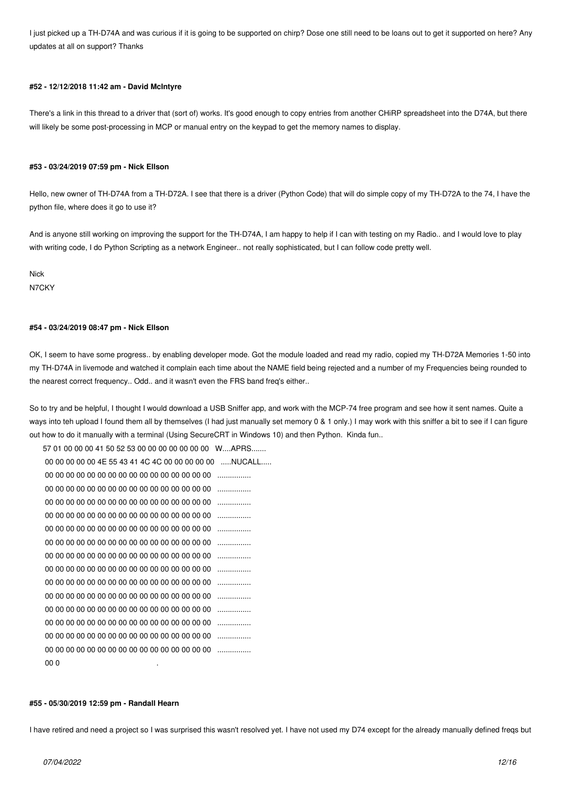*I just picked up a TH-D74A and was curious if it is going to be supported on chirp? Dose one still need to be loans out to get it supported on here? Any updates at all on support? Thanks*

### **#52 - 12/12/2018 11:42 am - David McIntyre**

*There's a link in this thread to a driver that (sort of) works. It's good enough to copy entries from another CHiRP spreadsheet into the D74A, but there will likely be some post-processing in MCP or manual entry on the keypad to get the memory names to display.*

#### **#53 - 03/24/2019 07:59 pm - Nick Ellson**

*Hello, new owner of TH-D74A from a TH-D72A. I see that there is a driver (Python Code) that will do simple copy of my TH-D72A to the 74, I have the python file, where does it go to use it?*

*And is anyone still working on improving the support for the TH-D74A, I am happy to help if I can with testing on my Radio.. and I would love to play with writing code, I do Python Scripting as a network Engineer.. not really sophisticated, but I can follow code pretty well.*

*Nick N7CKY*

#### **#54 - 03/24/2019 08:47 pm - Nick Ellson**

*OK, I seem to have some progress.. by enabling developer mode. Got the module loaded and read my radio, copied my TH-D72A Memories 1-50 into my TH-D74A in livemode and watched it complain each time about the NAME field being rejected and a number of my Frequencies being rounded to the nearest correct frequency.. Odd.. and it wasn't even the FRS band freq's either..*

*So to try and be helpful, I thought I would download a USB Sniffer app, and work with the MCP-74 free program and see how it sent names. Quite a ways into teh upload I found them all by themselves (I had just manually set memory 0 & 1 only.) I may work with this sniffer a bit to see if I can figure out how to do it manually with a terminal (Using SecureCRT in Windows 10) and then Python. Kinda fun..* 

*57 01 00 00 00 41 50 52 53 00 00 00 00 00 00 00 W....APRS....... 00 00 00 00 00 4E 55 43 41 4C 4C 00 00 00 00 00 .....NUCALL..... 00 00 00 00 00 00 00 00 00 00 00 00 00 00 00 00 ................ 00 00 00 00 00 00 00 00 00 00 00 00 00 00 00 00 ................ 00 00 00 00 00 00 00 00 00 00 00 00 00 00 00 00 ................ 00 00 00 00 00 00 00 00 00 00 00 00 00 00 00 00 ................ 00 00 00 00 00 00 00 00 00 00 00 00 00 00 00 00 ................ 00 00 00 00 00 00 00 00 00 00 00 00 00 00 00 00 ................ 00 00 00 00 00 00 00 00 00 00 00 00 00 00 00 00 ................ 00 00 00 00 00 00 00 00 00 00 00 00 00 00 00 00 ................ 00 00 00 00 00 00 00 00 00 00 00 00 00 00 00 00 ................ 00 00 00 00 00 00 00 00 00 00 00 00 00 00 00 00 ................ 00 00 00 00 00 00 00 00 00 00 00 00 00 00 00 00 ................ 00 00 00 00 00 00 00 00 00 00 00 00 00 00 00 00 ................ 00 00 00 00 00 00 00 00 00 00 00 00 00 00 00 00 ................ 00 00 00 00 00 00 00 00 00 00 00 00 00 00 00 00 ................ 00 0 .*

#### **#55 - 05/30/2019 12:59 pm - Randall Hearn**

*I have retired and need a project so I was surprised this wasn't resolved yet. I have not used my D74 except for the already manually defined freqs but*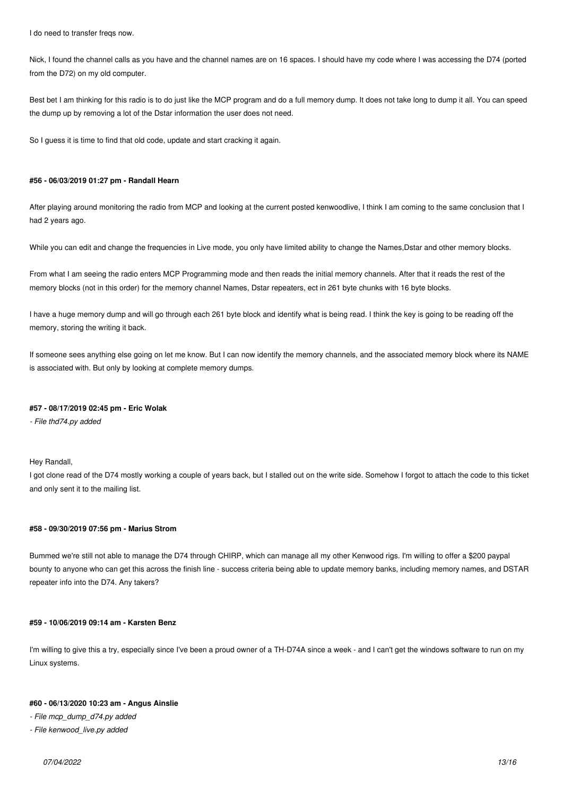*I do need to transfer freqs now.*

*Nick, I found the channel calls as you have and the channel names are on 16 spaces. I should have my code where I was accessing the D74 (ported from the D72) on my old computer.*

*Best bet I am thinking for this radio is to do just like the MCP program and do a full memory dump. It does not take long to dump it all. You can speed the dump up by removing a lot of the Dstar information the user does not need.*

*So I guess it is time to find that old code, update and start cracking it again.*

### **#56 - 06/03/2019 01:27 pm - Randall Hearn**

*After playing around monitoring the radio from MCP and looking at the current posted kenwoodlive, I think I am coming to the same conclusion that I had 2 years ago.*

*While you can edit and change the frequencies in Live mode, you only have limited ability to change the Names,Dstar and other memory blocks.*

*From what I am seeing the radio enters MCP Programming mode and then reads the initial memory channels. After that it reads the rest of the memory blocks (not in this order) for the memory channel Names, Dstar repeaters, ect in 261 byte chunks with 16 byte blocks.*

*I have a huge memory dump and will go through each 261 byte block and identify what is being read. I think the key is going to be reading off the memory, storing the writing it back.*

*If someone sees anything else going on let me know. But I can now identify the memory channels, and the associated memory block where its NAME is associated with. But only by looking at complete memory dumps.*

### **#57 - 08/17/2019 02:45 pm - Eric Wolak**

*- File thd74.py added*

*Hey Randall,*

I got clone read of the D74 mostly working a couple of years back, but I stalled out on the write side. Somehow I forgot to attach the code to this ticket *and only sent it to the mailing list.*

### **#58 - 09/30/2019 07:56 pm - Marius Strom**

*Bummed we're still not able to manage the D74 through CHIRP, which can manage all my other Kenwood rigs. I'm willing to offer a \$200 paypal bounty to anyone who can get this across the finish line - success criteria being able to update memory banks, including memory names, and DSTAR repeater info into the D74. Any takers?*

### **#59 - 10/06/2019 09:14 am - Karsten Benz**

*I'm willing to give this a try, especially since I've been a proud owner of a TH-D74A since a week - and I can't get the windows software to run on my Linux systems.*

### **#60 - 06/13/2020 10:23 am - Angus Ainslie**

*- File mcp\_dump\_d74.py added*

*- File kenwood\_live.py added*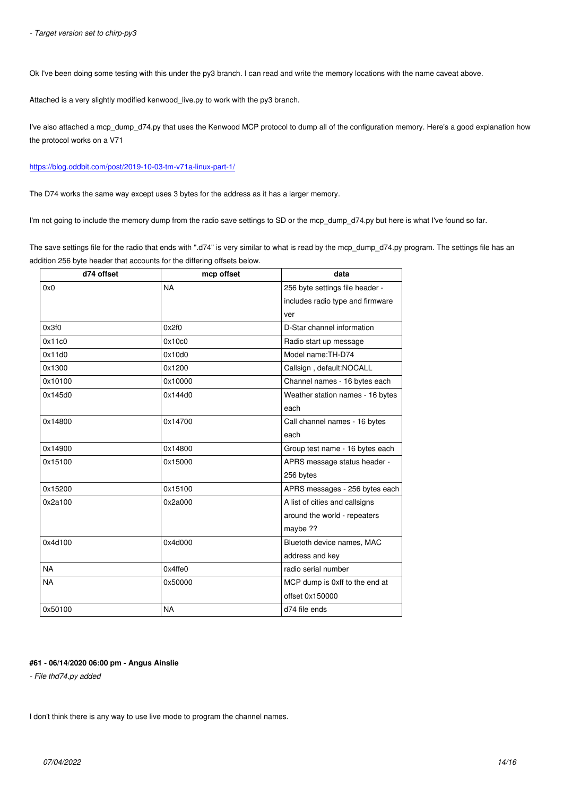*Ok I've been doing some testing with this under the py3 branch. I can read and write the memory locations with the name caveat above.*

*Attached is a very slightly modified kenwood\_live.py to work with the py3 branch.*

*I've also attached a mcp dump d74.py that uses the Kenwood MCP protocol to dump all of the configuration memory. Here's a good explanation how the protocol works on a V71*

### *https://blog.oddbit.com/post/2019-10-03-tm-v71a-linux-part-1/*

*The D74 works the same way except uses 3 bytes for the address as it has a larger memory.*

*[I'm not going to include the memory dump from the radio save](https://blog.oddbit.com/post/2019-10-03-tm-v71a-linux-part-1/) settings to SD or the mcp\_dump\_d74.py but here is what I've found so far.*

*The save settings file for the radio that ends with ".d74" is very similar to what is read by the mcp\_dump\_d74.py program. The settings file has an addition 256 byte header that accounts for the differing offsets below.*

| d74 offset | mcp offset | data                             |  |
|------------|------------|----------------------------------|--|
| 0x0        | <b>NA</b>  | 256 byte settings file header -  |  |
|            |            | includes radio type and firmware |  |
|            |            | ver                              |  |
| 0x3f0      | 0x2f0      | D-Star channel information       |  |
| 0x11c0     | 0x10c0     | Radio start up message           |  |
| 0x11d0     | 0x10d0     | Model name: TH-D74               |  |
| 0x1300     | 0x1200     | Callsign, default:NOCALL         |  |
| 0x10100    | 0x10000    | Channel names - 16 bytes each    |  |
| 0x145d0    | 0x144d0    | Weather station names - 16 bytes |  |
|            |            | each                             |  |
| 0x14800    | 0x14700    | Call channel names - 16 bytes    |  |
|            |            | each                             |  |
| 0x14900    | 0x14800    | Group test name - 16 bytes each  |  |
| 0x15100    | 0x15000    | APRS message status header -     |  |
|            |            | 256 bytes                        |  |
| 0x15200    | 0x15100    | APRS messages - 256 bytes each   |  |
| 0x2a100    | 0x2a000    | A list of cities and callsigns   |  |
|            |            | around the world - repeaters     |  |
|            |            | maybe ??                         |  |
| 0x4d100    | 0x4d000    | Bluetoth device names, MAC       |  |
|            |            | address and key                  |  |
| <b>NA</b>  | 0x4ffe0    | radio serial number              |  |
| <b>NA</b>  | 0x50000    | MCP dump is 0xff to the end at   |  |
|            |            | offset 0x150000                  |  |
| 0x50100    | <b>NA</b>  | d74 file ends                    |  |

### **#61 - 06/14/2020 06:00 pm - Angus Ainslie**

*- File thd74.py added*

*I don't think there is any way to use live mode to program the channel names.*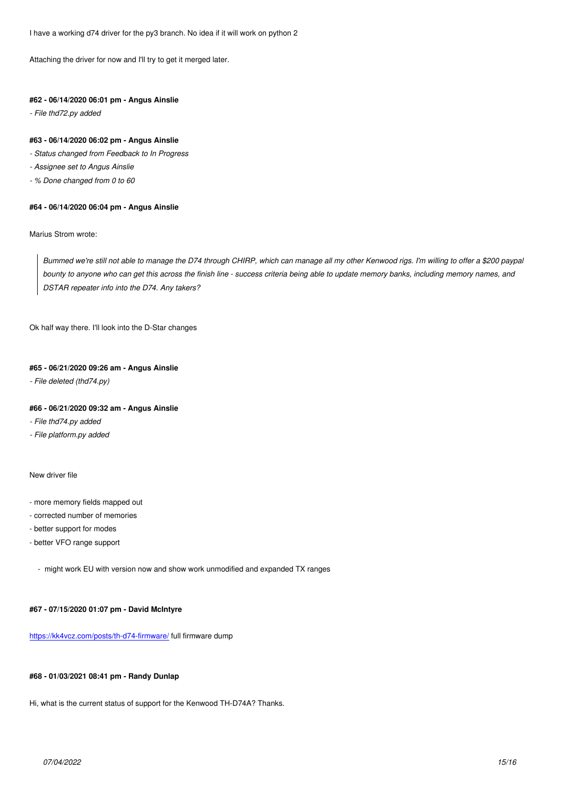*Attaching the driver for now and I'll try to get it merged later.*

### **#62 - 06/14/2020 06:01 pm - Angus Ainslie**

*- File thd72.py added*

# **#63 - 06/14/2020 06:02 pm - Angus Ainslie**

- *Status changed from Feedback to In Progress*
- *Assignee set to Angus Ainslie*
- *% Done changed from 0 to 60*

### **#64 - 06/14/2020 06:04 pm - Angus Ainslie**

*Marius Strom wrote:*

*Bummed we're still not able to manage the D74 through CHIRP, which can manage all my other Kenwood rigs. I'm willing to offer a \$200 paypal bounty to anyone who can get this across the finish line - success criteria being able to update memory banks, including memory names, and DSTAR repeater info into the D74. Any takers?*

*Ok half way there. I'll look into the D-Star changes*

#### **#65 - 06/21/2020 09:26 am - Angus Ainslie**

*- File deleted (thd74.py)*

### **#66 - 06/21/2020 09:32 am - Angus Ainslie**

*- File thd74.py added*

*- File platform.py added*

### *New driver file*

- *more memory fields mapped out*
- *corrected number of memories*
- *better support for modes*
- *better VFO range support*
	- *might work EU with version now and show work unmodified and expanded TX ranges*

### **#67 - 07/15/2020 01:07 pm - David McIntyre**

*https://kk4vcz.com/posts/th-d74-firmware/ full firmware dump*

### **[#68 - 01/03/2021 08:41 pm - Randy Dunl](https://kk4vcz.com/posts/th-d74-firmware/)ap**

*Hi, what is the current status of support for the Kenwood TH-D74A? Thanks.*